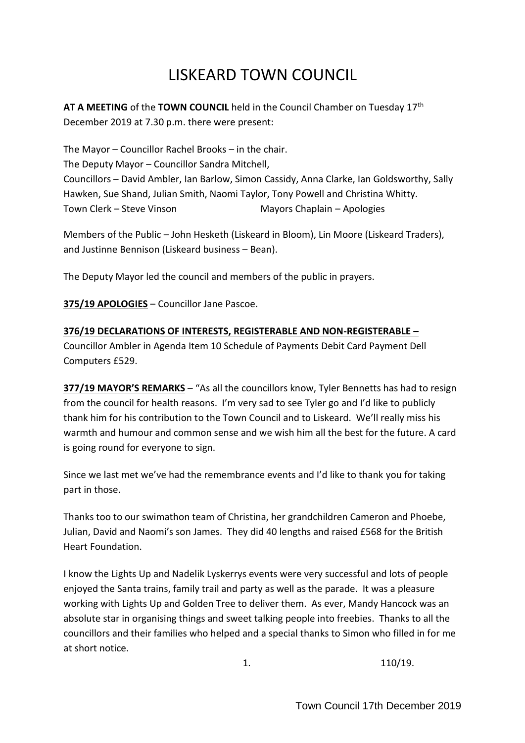# LISKEARD TOWN COUNCIL

**AT A MEETING** of the **TOWN COUNCIL** held in the Council Chamber on Tuesday 17th December 2019 at 7.30 p.m. there were present:

The Mayor – Councillor Rachel Brooks – in the chair. The Deputy Mayor – Councillor Sandra Mitchell, Councillors – David Ambler, Ian Barlow, Simon Cassidy, Anna Clarke, Ian Goldsworthy, Sally Hawken, Sue Shand, Julian Smith, Naomi Taylor, Tony Powell and Christina Whitty. Town Clerk – Steve Vinson Mayors Chaplain – Apologies

Members of the Public – John Hesketh (Liskeard in Bloom), Lin Moore (Liskeard Traders), and Justinne Bennison (Liskeard business – Bean).

The Deputy Mayor led the council and members of the public in prayers.

**375/19 APOLOGIES** – Councillor Jane Pascoe.

**376/19 DECLARATIONS OF INTERESTS, REGISTERABLE AND NON-REGISTERABLE –** Councillor Ambler in Agenda Item 10 Schedule of Payments Debit Card Payment Dell Computers £529.

**377/19 MAYOR'S REMARKS** – "As all the councillors know, Tyler Bennetts has had to resign from the council for health reasons. I'm very sad to see Tyler go and I'd like to publicly thank him for his contribution to the Town Council and to Liskeard. We'll really miss his warmth and humour and common sense and we wish him all the best for the future. A card is going round for everyone to sign.

Since we last met we've had the remembrance events and I'd like to thank you for taking part in those.

Thanks too to our swimathon team of Christina, her grandchildren Cameron and Phoebe, Julian, David and Naomi's son James. They did 40 lengths and raised £568 for the British Heart Foundation.

I know the Lights Up and Nadelik Lyskerrys events were very successful and lots of people enjoyed the Santa trains, family trail and party as well as the parade. It was a pleasure working with Lights Up and Golden Tree to deliver them. As ever, Mandy Hancock was an absolute star in organising things and sweet talking people into freebies. Thanks to all the councillors and their families who helped and a special thanks to Simon who filled in for me at short notice.

1. 110/19.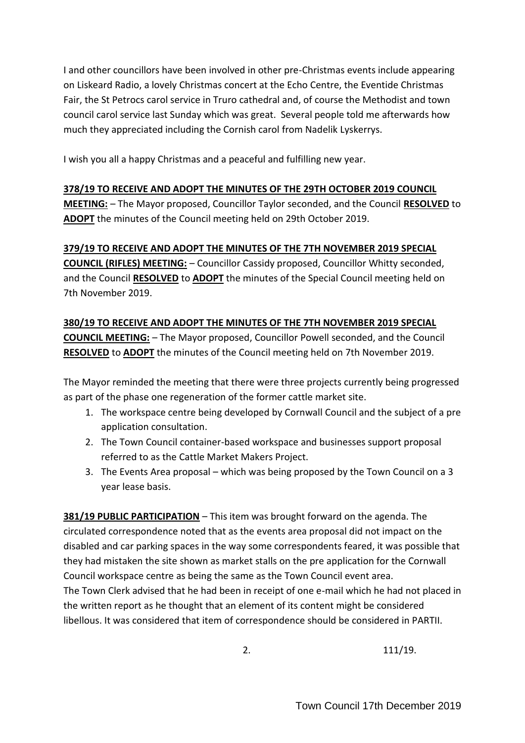I and other councillors have been involved in other pre-Christmas events include appearing on Liskeard Radio, a lovely Christmas concert at the Echo Centre, the Eventide Christmas Fair, the St Petrocs carol service in Truro cathedral and, of course the Methodist and town council carol service last Sunday which was great. Several people told me afterwards how much they appreciated including the Cornish carol from Nadelik Lyskerrys.

I wish you all a happy Christmas and a peaceful and fulfilling new year.

#### **378/19 TO RECEIVE AND ADOPT THE MINUTES OF THE 29TH OCTOBER 2019 COUNCIL**

**MEETING:** – The Mayor proposed, Councillor Taylor seconded, and the Council **RESOLVED** to **ADOPT** the minutes of the Council meeting held on 29th October 2019.

#### **379/19 TO RECEIVE AND ADOPT THE MINUTES OF THE 7TH NOVEMBER 2019 SPECIAL**

**COUNCIL (RIFLES) MEETING:** – Councillor Cassidy proposed, Councillor Whitty seconded, and the Council **RESOLVED** to **ADOPT** the minutes of the Special Council meeting held on 7th November 2019.

# **380/19 TO RECEIVE AND ADOPT THE MINUTES OF THE 7TH NOVEMBER 2019 SPECIAL COUNCIL MEETING:** – The Mayor proposed, Councillor Powell seconded, and the Council **RESOLVED** to **ADOPT** the minutes of the Council meeting held on 7th November 2019.

The Mayor reminded the meeting that there were three projects currently being progressed as part of the phase one regeneration of the former cattle market site.

- 1. The workspace centre being developed by Cornwall Council and the subject of a pre application consultation.
- 2. The Town Council container-based workspace and businesses support proposal referred to as the Cattle Market Makers Project.
- 3. The Events Area proposal which was being proposed by the Town Council on a 3 year lease basis.

**381/19 PUBLIC PARTICIPATION** – This item was brought forward on the agenda. The circulated correspondence noted that as the events area proposal did not impact on the disabled and car parking spaces in the way some correspondents feared, it was possible that they had mistaken the site shown as market stalls on the pre application for the Cornwall Council workspace centre as being the same as the Town Council event area. The Town Clerk advised that he had been in receipt of one e-mail which he had not placed in the written report as he thought that an element of its content might be considered libellous. It was considered that item of correspondence should be considered in PARTII.

2. 111/19.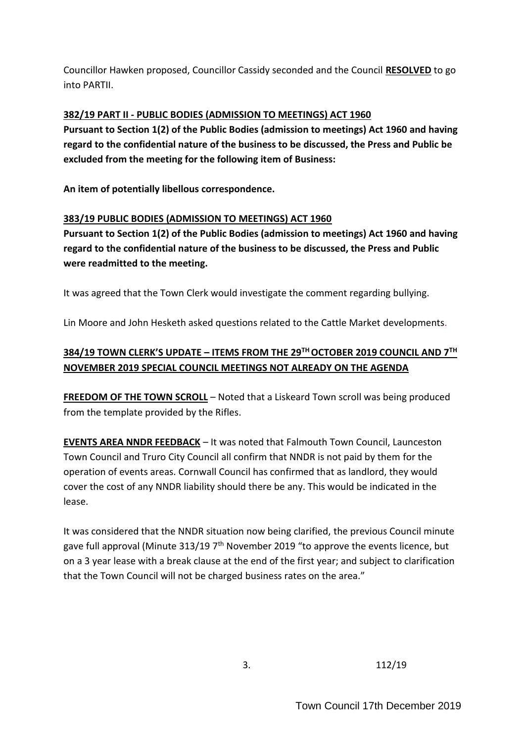Councillor Hawken proposed, Councillor Cassidy seconded and the Council **RESOLVED** to go into PARTII.

### **382/19 PART II - PUBLIC BODIES (ADMISSION TO MEETINGS) ACT 1960**

**Pursuant to Section 1(2) of the Public Bodies (admission to meetings) Act 1960 and having regard to the confidential nature of the business to be discussed, the Press and Public be excluded from the meeting for the following item of Business:**

**An item of potentially libellous correspondence.** 

#### **383/19 PUBLIC BODIES (ADMISSION TO MEETINGS) ACT 1960**

**Pursuant to Section 1(2) of the Public Bodies (admission to meetings) Act 1960 and having regard to the confidential nature of the business to be discussed, the Press and Public were readmitted to the meeting.**

It was agreed that the Town Clerk would investigate the comment regarding bullying.

Lin Moore and John Hesketh asked questions related to the Cattle Market developments.

# **384/19 TOWN CLERK'S UPDATE – ITEMS FROM THE 29TH OCTOBER 2019 COUNCIL AND 7TH NOVEMBER 2019 SPECIAL COUNCIL MEETINGS NOT ALREADY ON THE AGENDA**

**FREEDOM OF THE TOWN SCROLL** – Noted that a Liskeard Town scroll was being produced from the template provided by the Rifles.

**EVENTS AREA NNDR FEEDBACK** – It was noted that Falmouth Town Council, Launceston Town Council and Truro City Council all confirm that NNDR is not paid by them for the operation of events areas. Cornwall Council has confirmed that as landlord, they would cover the cost of any NNDR liability should there be any. This would be indicated in the lease.

It was considered that the NNDR situation now being clarified, the previous Council minute gave full approval (Minute 313/19 7<sup>th</sup> November 2019 "to approve the events licence, but on a 3 year lease with a break clause at the end of the first year; and subject to clarification that the Town Council will not be charged business rates on the area."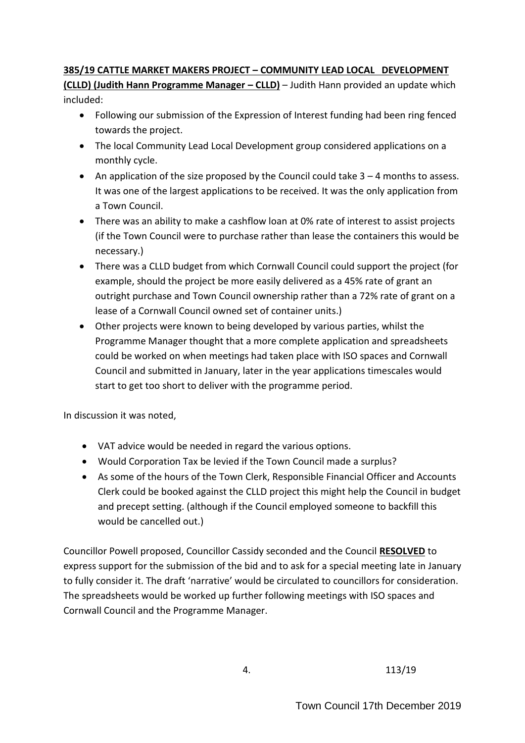# **385/19 CATTLE MARKET MAKERS PROJECT – COMMUNITY LEAD LOCAL DEVELOPMENT**

**(CLLD) (Judith Hann Programme Manager – CLLD)** – Judith Hann provided an update which included:

- Following our submission of the Expression of Interest funding had been ring fenced towards the project.
- The local Community Lead Local Development group considered applications on a monthly cycle.
- An application of the size proposed by the Council could take  $3 4$  months to assess. It was one of the largest applications to be received. It was the only application from a Town Council.
- There was an ability to make a cashflow loan at 0% rate of interest to assist projects (if the Town Council were to purchase rather than lease the containers this would be necessary.)
- There was a CLLD budget from which Cornwall Council could support the project (for example, should the project be more easily delivered as a 45% rate of grant an outright purchase and Town Council ownership rather than a 72% rate of grant on a lease of a Cornwall Council owned set of container units.)
- Other projects were known to being developed by various parties, whilst the Programme Manager thought that a more complete application and spreadsheets could be worked on when meetings had taken place with ISO spaces and Cornwall Council and submitted in January, later in the year applications timescales would start to get too short to deliver with the programme period.

In discussion it was noted,

- VAT advice would be needed in regard the various options.
- Would Corporation Tax be levied if the Town Council made a surplus?
- As some of the hours of the Town Clerk, Responsible Financial Officer and Accounts Clerk could be booked against the CLLD project this might help the Council in budget and precept setting. (although if the Council employed someone to backfill this would be cancelled out.)

Councillor Powell proposed, Councillor Cassidy seconded and the Council **RESOLVED** to express support for the submission of the bid and to ask for a special meeting late in January to fully consider it. The draft 'narrative' would be circulated to councillors for consideration. The spreadsheets would be worked up further following meetings with ISO spaces and Cornwall Council and the Programme Manager.

4. 113/19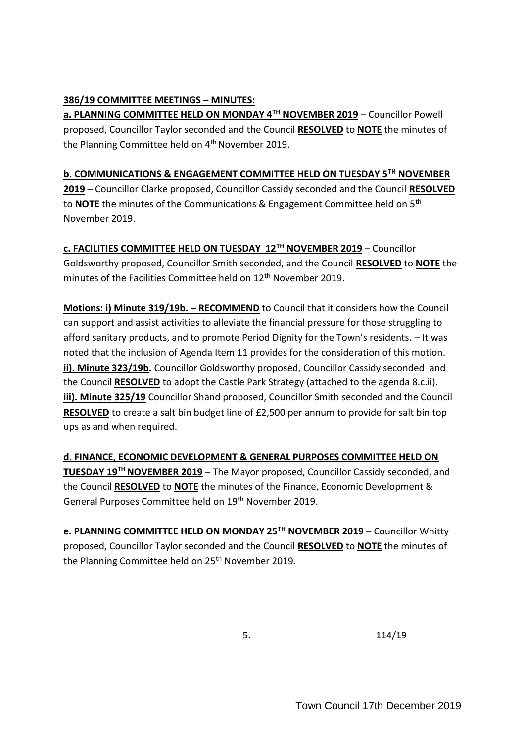# **386/19 COMMITTEE MEETINGS – MINUTES:**

**a. PLANNING COMMITTEE HELD ON MONDAY 4TH NOVEMBER 2019** – Councillor Powell proposed, Councillor Taylor seconded and the Council **RESOLVED** to **NOTE** the minutes of the Planning Committee held on 4<sup>th</sup> November 2019.

# **b. COMMUNICATIONS & ENGAGEMENT COMMITTEE HELD ON TUESDAY 5TH NOVEMBER**

**2019** – Councillor Clarke proposed, Councillor Cassidy seconded and the Council **RESOLVED** to **NOTE** the minutes of the Communications & Engagement Committee held on 5th November 2019.

**c. FACILITIES COMMITTEE HELD ON TUESDAY 12TH NOVEMBER 2019** – Councillor Goldsworthy proposed, Councillor Smith seconded, and the Council **RESOLVED** to **NOTE** the minutes of the Facilities Committee held on 12<sup>th</sup> November 2019.

**Motions: i) Minute 319/19b. - RECOMMEND** to Council that it considers how the Council can support and assist activities to alleviate the financial pressure for those struggling to afford sanitary products, and to promote Period Dignity for the Town's residents. – It was noted that the inclusion of Agenda Item 11 provides for the consideration of this motion. **ii). Minute 323/19b.** Councillor Goldsworthy proposed, Councillor Cassidy seconded and the Council **RESOLVED** to adopt the Castle Park Strategy (attached to the agenda 8.c.ii). **iii). Minute 325/19** Councillor Shand proposed, Councillor Smith seconded and the Council **RESOLVED** to create a salt bin budget line of £2,500 per annum to provide for salt bin top ups as and when required.

**d. FINANCE, ECONOMIC DEVELOPMENT & GENERAL PURPOSES COMMITTEE HELD ON TUESDAY 19TH NOVEMBER 2019** – The Mayor proposed, Councillor Cassidy seconded, and the Council **RESOLVED** to **NOTE** the minutes of the Finance, Economic Development & General Purposes Committee held on 19<sup>th</sup> November 2019.

**e. PLANNING COMMITTEE HELD ON MONDAY 25TH NOVEMBER 2019** – Councillor Whitty proposed, Councillor Taylor seconded and the Council **RESOLVED** to **NOTE** the minutes of the Planning Committee held on 25<sup>th</sup> November 2019.

5. 114/19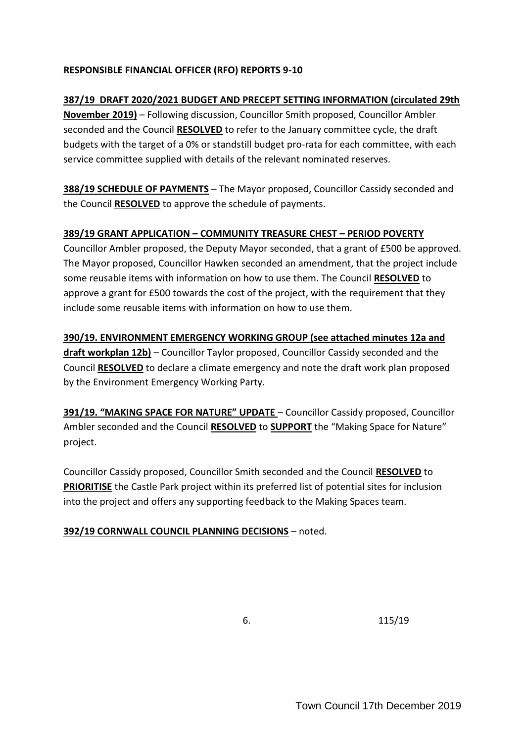# **RESPONSIBLE FINANCIAL OFFICER (RFO) REPORTS 9-10**

#### **387/19 DRAFT 2020/2021 BUDGET AND PRECEPT SETTING INFORMATION (circulated 29th**

**November 2019)** – Following discussion, Councillor Smith proposed, Councillor Ambler seconded and the Council **RESOLVED** to refer to the January committee cycle, the draft budgets with the target of a 0% or standstill budget pro-rata for each committee, with each service committee supplied with details of the relevant nominated reserves.

**388/19 SCHEDULE OF PAYMENTS** – The Mayor proposed, Councillor Cassidy seconded and the Council **RESOLVED** to approve the schedule of payments.

#### **389/19 GRANT APPLICATION – COMMUNITY TREASURE CHEST – PERIOD POVERTY**

Councillor Ambler proposed, the Deputy Mayor seconded, that a grant of £500 be approved. The Mayor proposed, Councillor Hawken seconded an amendment, that the project include some reusable items with information on how to use them. The Council **RESOLVED** to approve a grant for £500 towards the cost of the project, with the requirement that they include some reusable items with information on how to use them.

**390/19. ENVIRONMENT EMERGENCY WORKING GROUP (see attached minutes 12a and draft workplan 12b)** – Councillor Taylor proposed, Councillor Cassidy seconded and the Council **RESOLVED** to declare a climate emergency and note the draft work plan proposed by the Environment Emergency Working Party.

**391/19. "MAKING SPACE FOR NATURE" UPDATE** – Councillor Cassidy proposed, Councillor Ambler seconded and the Council **RESOLVED** to **SUPPORT** the "Making Space for Nature" project.

Councillor Cassidy proposed, Councillor Smith seconded and the Council **RESOLVED** to **PRIORITISE** the Castle Park project within its preferred list of potential sites for inclusion into the project and offers any supporting feedback to the Making Spaces team.

# **392/19 CORNWALL COUNCIL PLANNING DECISIONS** – noted.

6. 115/19